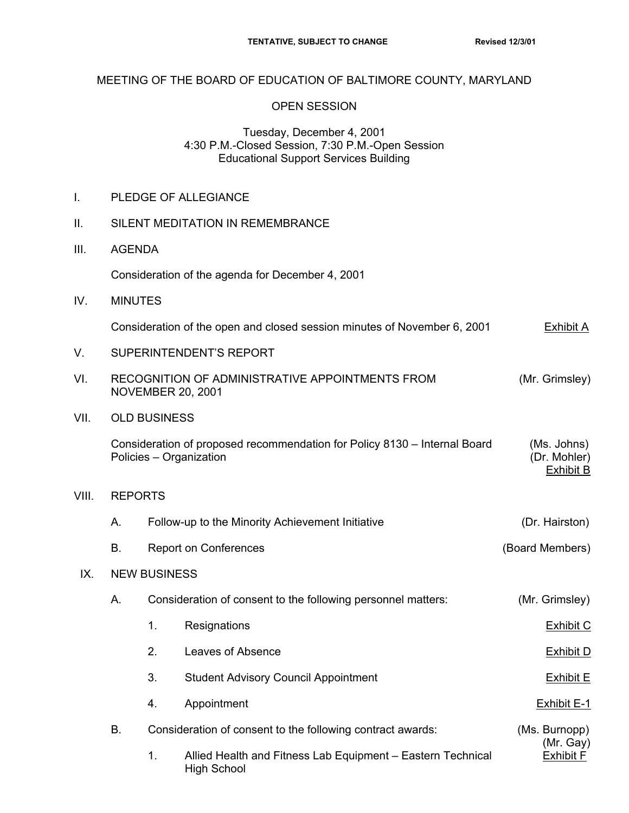## MEETING OF THE BOARD OF EDUCATION OF BALTIMORE COUNTY, MARYLAND

## OPEN SESSION

## Tuesday, December 4, 2001 4:30 P.M.-Closed Session, 7:30 P.M.-Open Session Educational Support Services Building

I. PLEDGE OF ALLEGIANCE

High School

| Ш.    | SILENT MEDITATION IN REMEMBRANCE                                                                     |                                                              |                                                                                                                           |                                                |  |  |  |
|-------|------------------------------------------------------------------------------------------------------|--------------------------------------------------------------|---------------------------------------------------------------------------------------------------------------------------|------------------------------------------------|--|--|--|
| III.  |                                                                                                      | <b>AGENDA</b>                                                |                                                                                                                           |                                                |  |  |  |
|       | Consideration of the agenda for December 4, 2001                                                     |                                                              |                                                                                                                           |                                                |  |  |  |
| IV.   | <b>MINUTES</b>                                                                                       |                                                              |                                                                                                                           |                                                |  |  |  |
|       | Consideration of the open and closed session minutes of November 6, 2001                             | Exhibit A                                                    |                                                                                                                           |                                                |  |  |  |
| V.    | <b>SUPERINTENDENT'S REPORT</b>                                                                       |                                                              |                                                                                                                           |                                                |  |  |  |
| VI.   | RECOGNITION OF ADMINISTRATIVE APPOINTMENTS FROM<br>(Mr. Grimsley)<br><b>NOVEMBER 20, 2001</b>        |                                                              |                                                                                                                           |                                                |  |  |  |
| VII.  | <b>OLD BUSINESS</b>                                                                                  |                                                              |                                                                                                                           |                                                |  |  |  |
|       | Consideration of proposed recommendation for Policy 8130 – Internal Board<br>Policies - Organization | (Ms. Johns)<br>(Dr. Mohler)<br><b>Exhibit B</b>              |                                                                                                                           |                                                |  |  |  |
| VIII. |                                                                                                      | <b>REPORTS</b>                                               |                                                                                                                           |                                                |  |  |  |
|       | А.                                                                                                   | Follow-up to the Minority Achievement Initiative             | (Dr. Hairston)                                                                                                            |                                                |  |  |  |
|       | В.                                                                                                   | <b>Report on Conferences</b>                                 | (Board Members)                                                                                                           |                                                |  |  |  |
| IX.   | <b>NEW BUSINESS</b>                                                                                  |                                                              |                                                                                                                           |                                                |  |  |  |
|       | А.                                                                                                   | Consideration of consent to the following personnel matters: |                                                                                                                           | (Mr. Grimsley)                                 |  |  |  |
|       |                                                                                                      | 1.                                                           | Resignations                                                                                                              | <b>Exhibit C</b>                               |  |  |  |
|       |                                                                                                      | 2.                                                           | Leaves of Absence                                                                                                         | <b>Exhibit D</b>                               |  |  |  |
|       |                                                                                                      | 3.                                                           | <b>Student Advisory Council Appointment</b>                                                                               | <b>Exhibit E</b>                               |  |  |  |
|       |                                                                                                      | 4.                                                           | Appointment                                                                                                               | <b>Exhibit E-1</b>                             |  |  |  |
|       | В.                                                                                                   | 1.                                                           | Consideration of consent to the following contract awards:<br>Allied Health and Fitness Lab Equipment - Eastern Technical | (Ms. Burnopp)<br>(Mr. Gay)<br><b>Exhibit F</b> |  |  |  |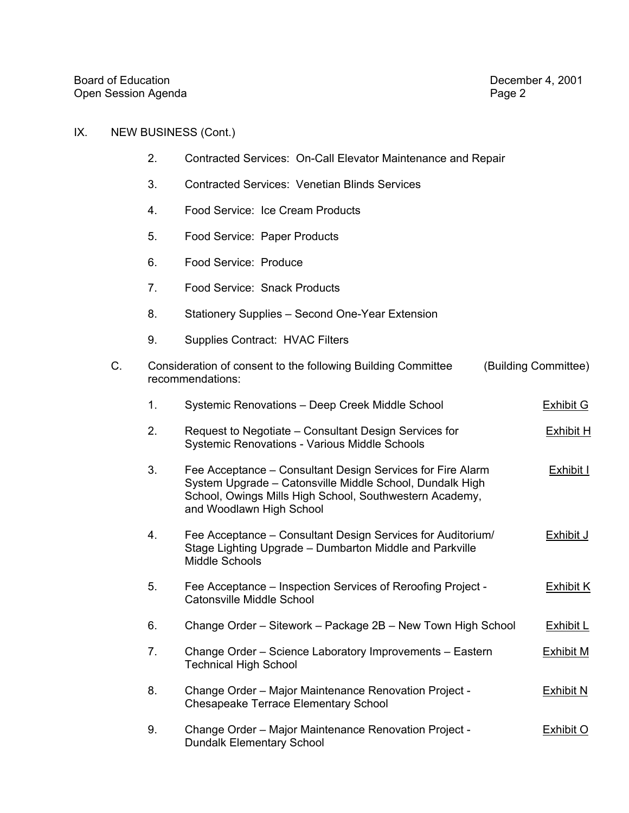## IX. NEW BUSINESS (Cont.)

- 2. Contracted Services: On-Call Elevator Maintenance and Repair
- 3. Contracted Services: Venetian Blinds Services
- 4. Food Service: Ice Cream Products
- 5. Food Service: Paper Products
- 6. Food Service: Produce
- 7. Food Service: Snack Products
- 8. Stationery Supplies Second One-Year Extension
- 9. Supplies Contract: HVAC Filters
- C. Consideration of consent to the following Building Committee (Building Committee) recommendations:
	- 1. Systemic Renovations Deep Creek Middle School Finance School Exhibit G
	- 2. Request to Negotiate Consultant Design Services for  $\frac{\text{Exhibit H}}{\text{Ex}}$ Systemic Renovations - Various Middle Schools
	- 3. Fee Acceptance Consultant Design Services for Fire Alarm Exhibit I System Upgrade – Catonsville Middle School, Dundalk High School, Owings Mills High School, Southwestern Academy, and Woodlawn High School
	- 4. Fee Acceptance Consultant Design Services for Auditorium/ Exhibit J Stage Lighting Upgrade – Dumbarton Middle and Parkville Middle Schools
	- 5. Fee Acceptance Inspection Services of Reroofing Project Exhibit K Catonsville Middle School
	- 6. Change Order Sitework Package 2B New Town High School Exhibit L
	- 7. Change Order Science Laboratory Improvements Eastern Exhibit M Technical High School
	- 8. Change Order Major Maintenance Renovation Project Exhibit N Chesapeake Terrace Elementary School
	- 9. Change Order Major Maintenance Renovation Project Exhibit O Dundalk Elementary School